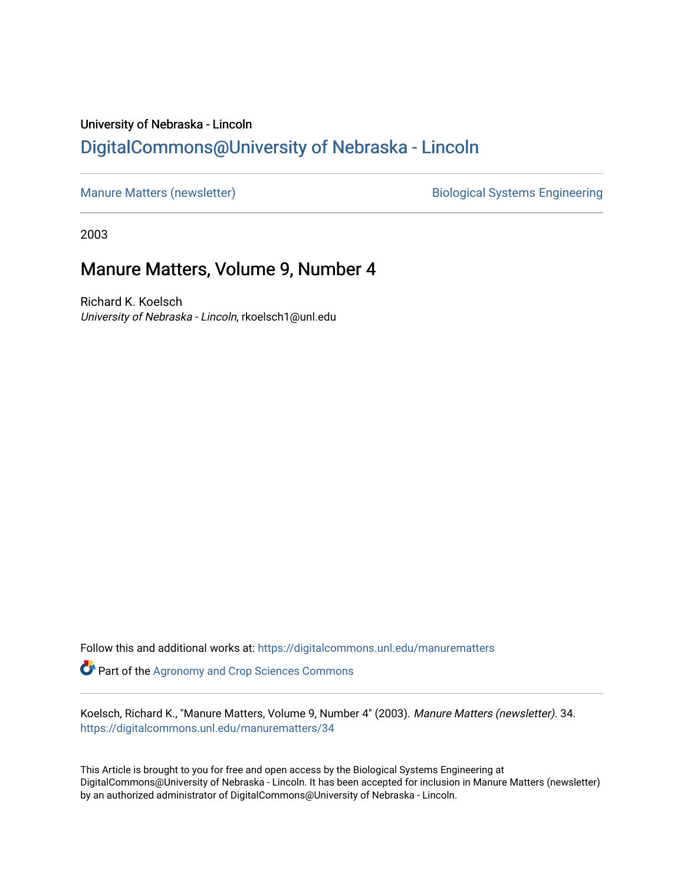## University of Nebraska - Lincoln [DigitalCommons@University of Nebraska - Lincoln](https://digitalcommons.unl.edu/)

[Manure Matters \(newsletter\)](https://digitalcommons.unl.edu/manurematters) and a settlement of the Biological Systems Engineering

2003

## Manure Matters, Volume 9, Number 4

Richard K. Koelsch University of Nebraska - Lincoln, rkoelsch1@unl.edu

Follow this and additional works at: [https://digitalcommons.unl.edu/manurematters](https://digitalcommons.unl.edu/manurematters?utm_source=digitalcommons.unl.edu%2Fmanurematters%2F34&utm_medium=PDF&utm_campaign=PDFCoverPages)  **Part of the Agronomy and Crop Sciences Commons** 

Koelsch, Richard K., "Manure Matters, Volume 9, Number 4" (2003). Manure Matters (newsletter). 34. [https://digitalcommons.unl.edu/manurematters/34](https://digitalcommons.unl.edu/manurematters/34?utm_source=digitalcommons.unl.edu%2Fmanurematters%2F34&utm_medium=PDF&utm_campaign=PDFCoverPages) 

This Article is brought to you for free and open access by the Biological Systems Engineering at DigitalCommons@University of Nebraska - Lincoln. It has been accepted for inclusion in Manure Matters (newsletter) by an authorized administrator of DigitalCommons@University of Nebraska - Lincoln.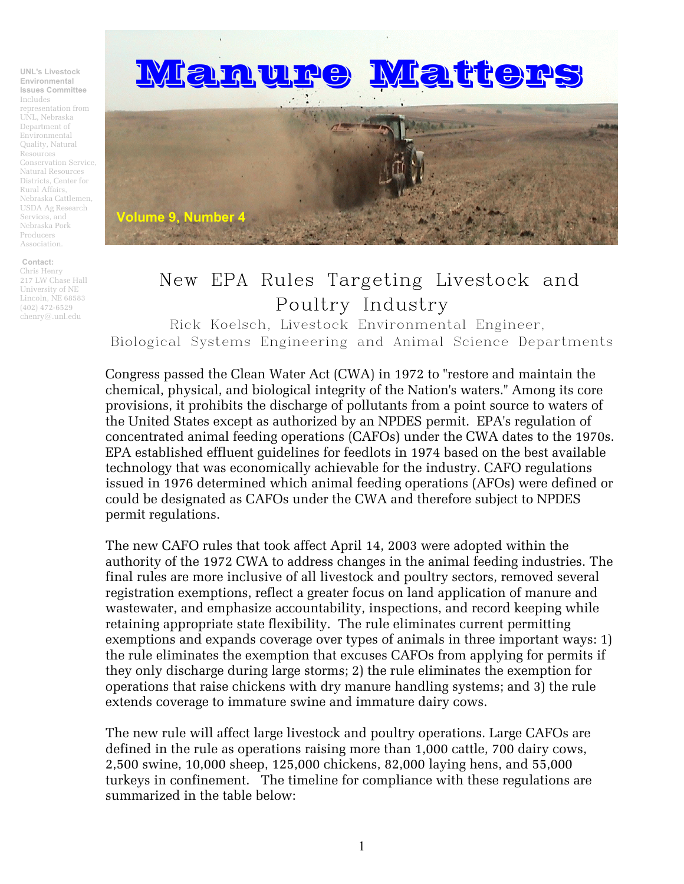**UNL's Livestock Environmental Issues Committee** Includes representation from UNL, Nebraska Department of Environmental Quality, Natural Resources Conservation Service, Natural Resources Districts, Center for Rural Affairs, Nebraska Cattlemen, USDA Ag Research Services, and Nebraska Pork Producers Association.

**Contact:** Chris Henry 217 LW Chase Hall University of NE Lincoln, NE 68583 (402) 472-6529 chenry@.unl.edu



## New EPA Rules Targeting Livestock and Poultry Industry

Rick Koelsch, Livestock Environmental Engineer, Biological Systems Engineering and Animal Science Departments

Congress passed the Clean Water Act (CWA) in 1972 to "restore and maintain the chemical, physical, and biological integrity of the Nation's waters." Among its core provisions, it prohibits the discharge of pollutants from a point source to waters of the United States except as authorized by an NPDES permit. EPA's regulation of concentrated animal feeding operations (CAFOs) under the CWA dates to the 1970s. EPA established effluent guidelines for feedlots in 1974 based on the best available technology that was economically achievable for the industry. CAFO regulations issued in 1976 determined which animal feeding operations (AFOs) were defined or could be designated as CAFOs under the CWA and therefore subject to NPDES permit regulations.

The new CAFO rules that took affect April 14, 2003 were adopted within the authority of the 1972 CWA to address changes in the animal feeding industries. The final rules are more inclusive of all livestock and poultry sectors, removed several registration exemptions, reflect a greater focus on land application of manure and wastewater, and emphasize accountability, inspections, and record keeping while retaining appropriate state flexibility. The rule eliminates current permitting exemptions and expands coverage over types of animals in three important ways: 1) the rule eliminates the exemption that excuses CAFOs from applying for permits if they only discharge during large storms; 2) the rule eliminates the exemption for operations that raise chickens with dry manure handling systems; and 3) the rule extends coverage to immature swine and immature dairy cows.

The new rule will affect large livestock and poultry operations. Large CAFOs are defined in the rule as operations raising more than 1,000 cattle, 700 dairy cows, 2,500 swine, 10,000 sheep, 125,000 chickens, 82,000 laying hens, and 55,000 turkeys in confinement. The timeline for compliance with these regulations are summarized in the table below: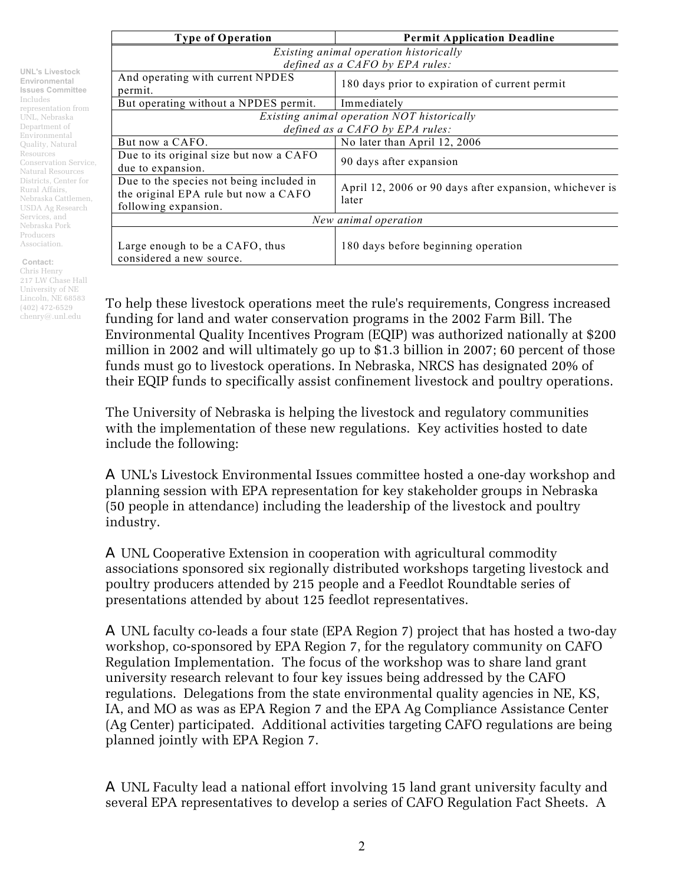**UNL's Livestock Environmental Issues Committee** Includes representation from UNL, Nebraska Department of Environmental Quality, Natural Resources Conservation Service, Natural Resources Districts, Center for Rural Affairs, Nebraska Cattlemen, USDA Ag Research Services, and Nebraska Pork Producers Association.

**Contact:** Chris Henry 217 LW Chase Hall University of NE Lincoln, NE 68583 (402) 472-6529 chenry@.unl.edu

**Type of Operation Permit Application Deadline**  *Existing animal operation historically defined as a CAFO by EPA rules:* And operating with current NPDES permit. 180 days prior to expiration of current permit But operating without a NPDES permit. Immediately *Existing animal operation NOT historically defined as a CAFO by EPA rules:* But now a CAFO. No later than April 12, 2006 Due to its original size but now a CAFO But to its originar size but now a CATO  $\left| \begin{array}{c} 90 \text{ days after expansion} \end{array} \right|$ Due to the species not being included in the original EPA rule but now a CAFO following expansion. April 12, 2006 or 90 days after expansion, whichever is later *New animal operation*  Large enough to be a CAFO, thus considered a new source. 180 days before beginning operation

To help these livestock operations meet the rule's requirements, Congress increased funding for land and water conservation programs in the 2002 Farm Bill. The Environmental Quality Incentives Program (EQIP) was authorized nationally at \$200 million in 2002 and will ultimately go up to \$1.3 billion in 2007; 60 percent of those funds must go to livestock operations. In Nebraska, NRCS has designated 20% of their EQIP funds to specifically assist confinement livestock and poultry operations.

The University of Nebraska is helping the livestock and regulatory communities with the implementation of these new regulations. Key activities hosted to date include the following:

A UNL's Livestock Environmental Issues committee hosted a one-day workshop and planning session with EPA representation for key stakeholder groups in Nebraska (50 people in attendance) including the leadership of the livestock and poultry industry.

A UNL Cooperative Extension in cooperation with agricultural commodity associations sponsored six regionally distributed workshops targeting livestock and poultry producers attended by 215 people and a Feedlot Roundtable series of presentations attended by about 125 feedlot representatives.

A UNL faculty co-leads a four state (EPA Region 7) project that has hosted a two-day workshop, co-sponsored by EPA Region 7, for the regulatory community on CAFO Regulation Implementation. The focus of the workshop was to share land grant university research relevant to four key issues being addressed by the CAFO regulations. Delegations from the state environmental quality agencies in NE, KS, IA, and MO as was as EPA Region 7 and the EPA Ag Compliance Assistance Center (Ag Center) participated. Additional activities targeting CAFO regulations are being planned jointly with EPA Region 7.

A UNL Faculty lead a national effort involving 15 land grant university faculty and several EPA representatives to develop a series of CAFO Regulation Fact Sheets. A